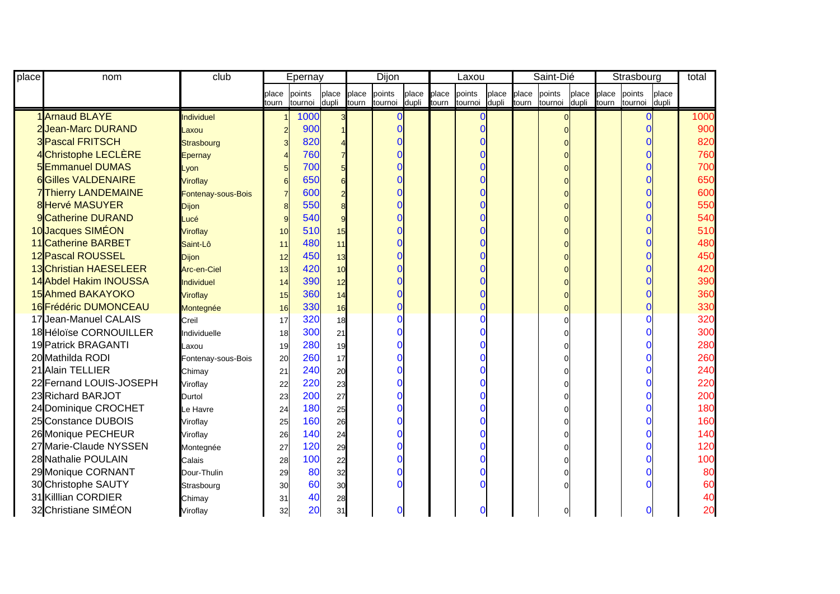| place | nom                       | club               | Epernay |         |       | Dijon |         |       | Laxou |          |       | Saint-Dié |         |       | Strasbourg |         |        | total      |
|-------|---------------------------|--------------------|---------|---------|-------|-------|---------|-------|-------|----------|-------|-----------|---------|-------|------------|---------|--------|------------|
|       |                           |                    | place   | points  | place | place | points  | place | place | points   | place | place     | points  | place | place      | points  | Iplace |            |
|       |                           |                    | tourn   | tournoi | dupli | tourn | tournoi | dupli | tourn | tournoi  | dupli | tourn     | tournoi | dupli | tourn      | tournoi | dupli  |            |
|       | 1 Arnaud BLAYE            | <b>Individuel</b>  |         | 1000    |       |       |         |       |       | $\Omega$ |       |           |         |       |            |         |        | 1000       |
|       | 2 Jean-Marc DURAND        | Laxou              |         | 900     |       |       |         |       |       | O        |       |           |         |       |            |         |        | 900        |
|       | <b>3 Pascal FRITSCH</b>   | Strasbourg         |         | 820     |       |       |         |       |       |          |       |           |         |       |            |         |        | 820        |
|       | 4 Christophe LECLÈRE      | <b>Epernay</b>     |         | 760     |       |       |         |       |       |          |       |           |         |       |            |         |        | 760        |
|       | <b>5Emmanuel DUMAS</b>    | Lyon               |         | 700     |       |       |         |       |       |          |       |           |         |       |            |         |        | <b>700</b> |
|       | <b>6Gilles VALDENAIRE</b> | Viroflay           |         | 650     |       |       |         |       |       |          |       |           |         |       |            |         |        | 650        |
|       | 7Thierry LANDEMAINE       | Fontenay-sous-Bois |         | 600     |       |       |         |       |       |          |       |           |         |       |            |         |        | 600        |
|       | <b>8 Hervé MASUYER</b>    | <b>Dijon</b>       |         | 550     |       |       |         |       |       |          |       |           |         |       |            |         |        | 550        |
|       | 9 Catherine DURAND        | Lucé               |         | 540     |       |       |         |       |       |          |       |           |         |       |            |         |        | 540        |
|       | 10 Jacques SIMÉON         | <b>Viroflay</b>    | 10      | 510     | 15    |       |         |       |       |          |       |           |         |       |            |         |        | 510        |
|       | 11 Catherine BARBET       | Saint-Lô           | 11      | 480     | 11    |       |         |       |       |          |       |           |         |       |            |         |        | 480        |
|       | 12 Pascal ROUSSEL         | <b>Dijon</b>       | 12      | 450     | 13    |       |         |       |       |          |       |           |         |       |            |         |        | 450        |
|       | 13 Christian HAESELEER    | Arc-en-Ciel        | 13      | 420     | 10    |       |         |       |       |          |       |           |         |       |            |         |        | 420        |
|       | 14 Abdel Hakim INOUSSA    | <b>Individuel</b>  | 14      | 390     | 12    |       |         |       |       |          |       |           |         |       |            |         |        | 390        |
|       | 15 Ahmed BAKAYOKO         | Viroflay           | 15      | 360     | 14    |       |         |       |       |          |       |           |         |       |            |         |        | 360        |
|       | 16 Frédéric DUMONCEAU     | Montegnée          | 16      | 330     | 16    |       |         |       |       |          |       |           |         |       |            |         |        | 330        |
|       | 17Jean-Manuel CALAIS      | Creil              | 17      | 320     | 18    |       |         |       |       |          |       |           |         |       |            |         |        | 320        |
|       | 18 Héloïse CORNOUILLER    | Individuelle       | 18      | 300     | 21    |       |         |       |       |          |       |           |         |       |            |         |        | 300        |
|       | 19 Patrick BRAGANTI       | Laxou              | 19      | 280     | 19    |       |         |       |       |          |       |           |         |       |            |         |        | 280        |
|       | 20 Mathilda RODI          | Fontenay-sous-Bois | 20      | 260     | 17    |       |         |       |       |          |       |           |         |       |            |         |        | 260        |
|       | 21 Alain TELLIER          | Chimay             | 21      | 240     | 20    |       |         |       |       |          |       |           |         |       |            |         |        | 240        |
|       | 22 Fernand LOUIS-JOSEPH   | Viroflay           | 22      | 220     | 23    |       |         |       |       |          |       |           |         |       |            |         |        | 220        |
|       | 23 Richard BARJOT         | Durtol             | 23      | 200     | 27    |       |         |       |       |          |       |           |         |       |            |         |        | 200        |
|       | 24 Dominique CROCHET      | Le Havre           | 24      | 180     | 25    |       |         |       |       |          |       |           |         |       |            |         |        | 180        |
|       | 25 Constance DUBOIS       | Viroflay           | 25      | 160     | 26    |       |         |       |       |          |       |           |         |       |            |         |        | 160        |
|       | 26 Monique PECHEUR        | Viroflay           | 26      | 140     | 24    |       |         |       |       |          |       |           |         |       |            |         |        | 140        |
|       | 27 Marie-Claude NYSSEN    | Montegnée          | 27      | 120     | 29    |       |         |       |       |          |       |           |         |       |            |         |        | 120        |
|       | 28 Nathalie POULAIN       | Calais             | 28      | 100     | 22    |       |         |       |       |          |       |           |         |       |            |         |        | 100        |
|       | 29 Monique CORNANT        | Dour-Thulin        | 29      | 80      | 32    |       |         |       |       |          |       |           |         |       |            |         |        | 80         |
|       | 30 Christophe SAUTY       | Strasbourg         | 30      | 60      | 30    |       |         |       |       |          |       |           |         |       |            |         |        | 60         |
|       | 31 Killian CORDIER        | Chimay             | 31      | 40      | 28    |       |         |       |       |          |       |           |         |       |            |         |        | 40         |
|       | 32 Christiane SIMÉON      | Viroflay           | 32      | 20      | 31    |       |         |       |       | $\Omega$ |       |           | 0       |       |            |         |        | 20         |